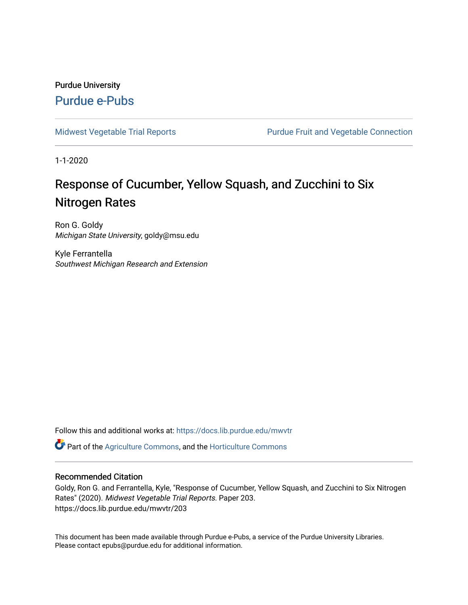### Purdue University [Purdue e-Pubs](https://docs.lib.purdue.edu/)

[Midwest Vegetable Trial Reports](https://docs.lib.purdue.edu/mwvtr) **Purdue Fruit and Vegetable Connection** 

1-1-2020

## Response of Cucumber, Yellow Squash, and Zucchini to Six Nitrogen Rates

Ron G. Goldy Michigan State University, goldy@msu.edu

Kyle Ferrantella Southwest Michigan Research and Extension

Follow this and additional works at: [https://docs.lib.purdue.edu/mwvtr](https://docs.lib.purdue.edu/mwvtr?utm_source=docs.lib.purdue.edu%2Fmwvtr%2F203&utm_medium=PDF&utm_campaign=PDFCoverPages) 

Part of the [Agriculture Commons](http://network.bepress.com/hgg/discipline/1076?utm_source=docs.lib.purdue.edu%2Fmwvtr%2F203&utm_medium=PDF&utm_campaign=PDFCoverPages), and the [Horticulture Commons](http://network.bepress.com/hgg/discipline/105?utm_source=docs.lib.purdue.edu%2Fmwvtr%2F203&utm_medium=PDF&utm_campaign=PDFCoverPages) 

#### Recommended Citation

Goldy, Ron G. and Ferrantella, Kyle, "Response of Cucumber, Yellow Squash, and Zucchini to Six Nitrogen Rates" (2020). Midwest Vegetable Trial Reports. Paper 203. https://docs.lib.purdue.edu/mwvtr/203

This document has been made available through Purdue e-Pubs, a service of the Purdue University Libraries. Please contact epubs@purdue.edu for additional information.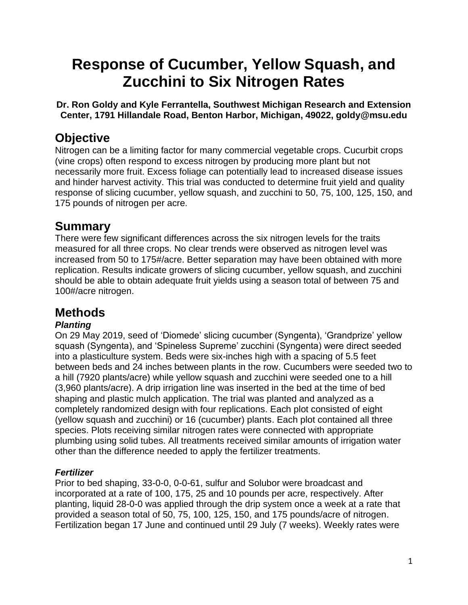# **Response of Cucumber, Yellow Squash, and Zucchini to Six Nitrogen Rates**

**Dr. Ron Goldy and Kyle Ferrantella, Southwest Michigan Research and Extension Center, 1791 Hillandale Road, Benton Harbor, Michigan, 49022, [goldy@msu.edu](mailto:goldy@msu.edu)** 

## **Objective**

 Nitrogen can be a limiting factor for many commercial vegetable crops. Cucurbit crops (vine crops) often respond to excess nitrogen by producing more plant but not necessarily more fruit. Excess foliage can potentially lead to increased disease issues and hinder harvest activity. This trial was conducted to determine fruit yield and quality response of slicing cucumber, yellow squash, and zucchini to 50, 75, 100, 125, 150, and 175 pounds of nitrogen per acre.

## **Summary**

 should be able to obtain adequate fruit yields using a season total of between 75 and There were few significant differences across the six nitrogen levels for the traits measured for all three crops. No clear trends were observed as nitrogen level was increased from 50 to 175#/acre. Better separation may have been obtained with more replication. Results indicate growers of slicing cucumber, yellow squash, and zucchini 100#/acre nitrogen.

## **Methods**

### *Planting*

 shaping and plastic mulch application. The trial was planted and analyzed as a On 29 May 2019, seed of 'Diomede' slicing cucumber (Syngenta), 'Grandprize' yellow squash (Syngenta), and 'Spineless Supreme' zucchini (Syngenta) were direct seeded into a plasticulture system. Beds were six-inches high with a spacing of 5.5 feet between beds and 24 inches between plants in the row. Cucumbers were seeded two to a hill (7920 plants/acre) while yellow squash and zucchini were seeded one to a hill (3,960 plants/acre). A drip irrigation line was inserted in the bed at the time of bed completely randomized design with four replications. Each plot consisted of eight (yellow squash and zucchini) or 16 (cucumber) plants. Each plot contained all three species. Plots receiving similar nitrogen rates were connected with appropriate plumbing using solid tubes. All treatments received similar amounts of irrigation water other than the difference needed to apply the fertilizer treatments.

### *Fertilizer*

 incorporated at a rate of 100, 175, 25 and 10 pounds per acre, respectively. After Prior to bed shaping, 33-0-0, 0-0-61, sulfur and Solubor were broadcast and planting, liquid 28-0-0 was applied through the drip system once a week at a rate that provided a season total of 50, 75, 100, 125, 150, and 175 pounds/acre of nitrogen. Fertilization began 17 June and continued until 29 July (7 weeks). Weekly rates were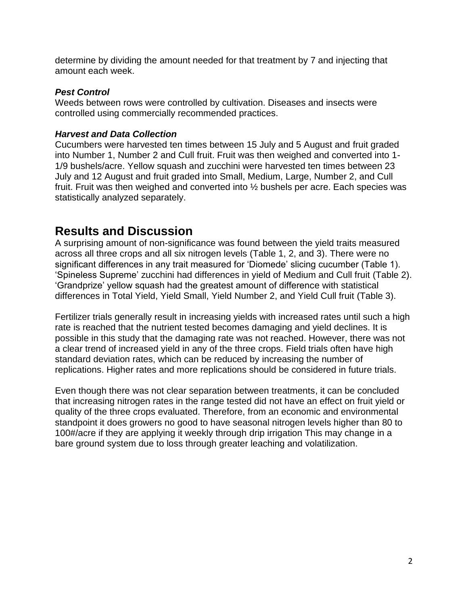determine by dividing the amount needed for that treatment by 7 and injecting that amount each week.

#### *Pest Control*

 controlled using commercially recommended practices. Weeds between rows were controlled by cultivation. Diseases and insects were

#### *Harvest and Data Collection*

 Cucumbers were harvested ten times between 15 July and 5 August and fruit graded 1/9 bushels/acre. Yellow squash and zucchini were harvested ten times between 23 into Number 1, Number 2 and Cull fruit. Fruit was then weighed and converted into 1- July and 12 August and fruit graded into Small, Medium, Large, Number 2, and Cull fruit. Fruit was then weighed and converted into ½ bushels per acre. Each species was statistically analyzed separately.

### **Results and Discussion**

A surprising amount of non-significance was found between the yield traits measured across all three crops and all six nitrogen levels (Table 1, 2, and 3). There were no significant differences in any trait measured for 'Diomede' slicing cucumber (Table 1). 'Spineless Supreme' zucchini had differences in yield of Medium and Cull fruit (Table 2). 'Grandprize' yellow squash had the greatest amount of difference with statistical differences in Total Yield, Yield Small, Yield Number 2, and Yield Cull fruit (Table 3).

 Fertilizer trials generally result in increasing yields with increased rates until such a high rate is reached that the nutrient tested becomes damaging and yield declines. It is possible in this study that the damaging rate was not reached. However, there was not a clear trend of increased yield in any of the three crops. Field trials often have high standard deviation rates, which can be reduced by increasing the number of replications. Higher rates and more replications should be considered in future trials.

 that increasing nitrogen rates in the range tested did not have an effect on fruit yield or Even though there was not clear separation between treatments, it can be concluded quality of the three crops evaluated. Therefore, from an economic and environmental standpoint it does growers no good to have seasonal nitrogen levels higher than 80 to 100#/acre if they are applying it weekly through drip irrigation This may change in a bare ground system due to loss through greater leaching and volatilization.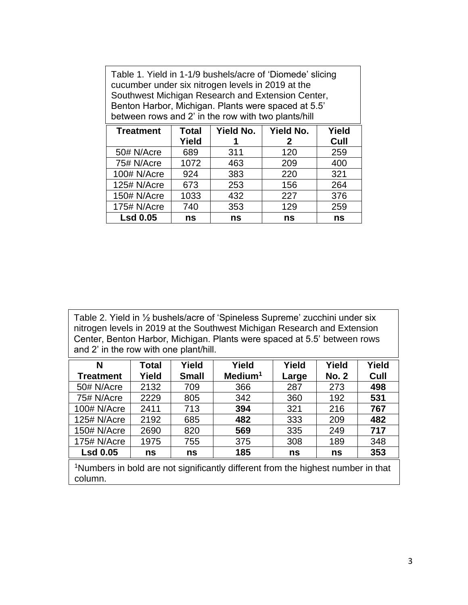| Table 1. Yield in 1-1/9 bushels/acre of 'Diomede' slicing<br>cucumber under six nitrogen levels in 2019 at the<br>Southwest Michigan Research and Extension Center,<br>Benton Harbor, Michigan. Plants were spaced at 5.5'<br>between rows and 2' in the row with two plants/hill |                          |           |                  |       |  |  |
|-----------------------------------------------------------------------------------------------------------------------------------------------------------------------------------------------------------------------------------------------------------------------------------|--------------------------|-----------|------------------|-------|--|--|
| <b>Treatment</b>                                                                                                                                                                                                                                                                  | <b>Total</b>             | Yield No. | <b>Yield No.</b> | Yield |  |  |
|                                                                                                                                                                                                                                                                                   | Yield                    |           | 2                | Cull  |  |  |
| 50# N/Acre                                                                                                                                                                                                                                                                        | 689                      | 311       | 120              | 259   |  |  |
| 75# N/Acre                                                                                                                                                                                                                                                                        | 1072                     | 463       | 209              | 400   |  |  |
| 100# N/Acre                                                                                                                                                                                                                                                                       | 924<br>220<br>321<br>383 |           |                  |       |  |  |
| 125# N/Acre                                                                                                                                                                                                                                                                       | 673                      | 253       | 156              | 264   |  |  |
| 150# N/Acre                                                                                                                                                                                                                                                                       | 1033                     | 432       | 227              | 376   |  |  |
| 175# N/Acre                                                                                                                                                                                                                                                                       | 740                      | 353       | 129              | 259   |  |  |
| <b>Lsd 0.05</b><br>ns<br>ns<br>ns<br>ns                                                                                                                                                                                                                                           |                          |           |                  |       |  |  |

Table 2. Yield in ½ bushels/acre of 'Spineless Supreme' zucchini under six nitrogen levels in 2019 at the Southwest Michigan Research and Extension Center, Benton Harbor, Michigan. Plants were spaced at 5.5' between rows and 2' in the row with one plant/hill.

| N                | Total | Yield        | Yield               | Yield | Yield        | Yield |
|------------------|-------|--------------|---------------------|-------|--------------|-------|
| <b>Treatment</b> | Yield | <b>Small</b> | Medium <sup>1</sup> | Large | <b>No. 2</b> | Cull  |
| 50# N/Acre       | 2132  | 709          | 366                 | 287   | 273          | 498   |
| 75# N/Acre       | 2229  | 805          | 342                 | 360   | 192          | 531   |
| 100# N/Acre      | 2411  | 713          | 394                 | 321   | 216          | 767   |
| 125# N/Acre      | 2192  | 685          | 482                 | 333   | 209          | 482   |
| 150# N/Acre      | 2690  | 820          | 569                 | 335   | 249          | 717   |
| 175# N/Acre      | 1975  | 755          | 375                 | 308   | 189          | 348   |
| <b>Lsd 0.05</b>  | ns    | ns           | 185                 | ns    | ns           | 353   |
|                  |       |              |                     |       |              |       |

<sup>1</sup>Numbers in bold are not significantly different from the highest number in that column.